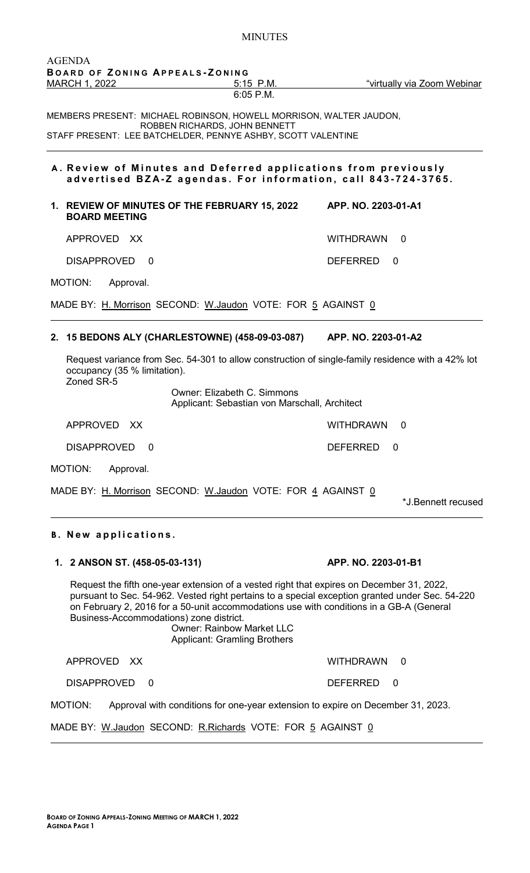| BOARD OF ZONING APPEALS-ZONING<br>MARCH 1, 2022<br>"virtually via Zoom Webinar<br>5:15 P.M.<br>$6:05$ P.M.<br>MEMBERS PRESENT: MICHAEL ROBINSON, HOWELL MORRISON, WALTER JAUDON,<br>ROBBEN RICHARDS, JOHN BENNETT<br>STAFF PRESENT: LEE BATCHELDER, PENNYE ASHBY, SCOTT VALENTINE<br>A. Review of Minutes and Deferred applications from previously<br>advertised BZA-Z agendas. For information, call 843-724-3765.<br>1. REVIEW OF MINUTES OF THE FEBRUARY 15, 2022<br>APP. NO. 2203-01-A1<br><b>BOARD MEETING</b><br>APPROVED XX<br>WITHDRAWN 0<br>DISAPPROVED<br><b>DEFERRED</b><br>$\Omega$<br>0<br>MOTION:<br>Approval.<br>MADE BY: H. Morrison SECOND: W. Jaudon VOTE: FOR 5 AGAINST 0<br>2. 15 BEDONS ALY (CHARLESTOWNE) (458-09-03-087) APP. NO. 2203-01-A2<br>Request variance from Sec. 54-301 to allow construction of single-family residence with a 42% lot<br>occupancy (35 % limitation).<br>Zoned SR-5<br><b>Owner: Elizabeth C. Simmons</b><br>Applicant: Sebastian von Marschall, Architect<br>WITHDRAWN<br>APPROVED XX<br>$\Omega$<br><b>DISAPPROVED</b><br><b>DEFERRED</b><br>0<br>$\Omega$<br>MOTION:<br>Approval.<br>MADE BY: H. Morrison SECOND: W. Jaudon VOTE: FOR 4 AGAINST 0<br>*J.Bennett recused<br><b>B.</b> New applications. |
|---------------------------------------------------------------------------------------------------------------------------------------------------------------------------------------------------------------------------------------------------------------------------------------------------------------------------------------------------------------------------------------------------------------------------------------------------------------------------------------------------------------------------------------------------------------------------------------------------------------------------------------------------------------------------------------------------------------------------------------------------------------------------------------------------------------------------------------------------------------------------------------------------------------------------------------------------------------------------------------------------------------------------------------------------------------------------------------------------------------------------------------------------------------------------------------------------------------------------------------------------------------|
|                                                                                                                                                                                                                                                                                                                                                                                                                                                                                                                                                                                                                                                                                                                                                                                                                                                                                                                                                                                                                                                                                                                                                                                                                                                               |
|                                                                                                                                                                                                                                                                                                                                                                                                                                                                                                                                                                                                                                                                                                                                                                                                                                                                                                                                                                                                                                                                                                                                                                                                                                                               |
|                                                                                                                                                                                                                                                                                                                                                                                                                                                                                                                                                                                                                                                                                                                                                                                                                                                                                                                                                                                                                                                                                                                                                                                                                                                               |
|                                                                                                                                                                                                                                                                                                                                                                                                                                                                                                                                                                                                                                                                                                                                                                                                                                                                                                                                                                                                                                                                                                                                                                                                                                                               |
|                                                                                                                                                                                                                                                                                                                                                                                                                                                                                                                                                                                                                                                                                                                                                                                                                                                                                                                                                                                                                                                                                                                                                                                                                                                               |
|                                                                                                                                                                                                                                                                                                                                                                                                                                                                                                                                                                                                                                                                                                                                                                                                                                                                                                                                                                                                                                                                                                                                                                                                                                                               |
|                                                                                                                                                                                                                                                                                                                                                                                                                                                                                                                                                                                                                                                                                                                                                                                                                                                                                                                                                                                                                                                                                                                                                                                                                                                               |
|                                                                                                                                                                                                                                                                                                                                                                                                                                                                                                                                                                                                                                                                                                                                                                                                                                                                                                                                                                                                                                                                                                                                                                                                                                                               |
|                                                                                                                                                                                                                                                                                                                                                                                                                                                                                                                                                                                                                                                                                                                                                                                                                                                                                                                                                                                                                                                                                                                                                                                                                                                               |
|                                                                                                                                                                                                                                                                                                                                                                                                                                                                                                                                                                                                                                                                                                                                                                                                                                                                                                                                                                                                                                                                                                                                                                                                                                                               |
|                                                                                                                                                                                                                                                                                                                                                                                                                                                                                                                                                                                                                                                                                                                                                                                                                                                                                                                                                                                                                                                                                                                                                                                                                                                               |
|                                                                                                                                                                                                                                                                                                                                                                                                                                                                                                                                                                                                                                                                                                                                                                                                                                                                                                                                                                                                                                                                                                                                                                                                                                                               |
|                                                                                                                                                                                                                                                                                                                                                                                                                                                                                                                                                                                                                                                                                                                                                                                                                                                                                                                                                                                                                                                                                                                                                                                                                                                               |
|                                                                                                                                                                                                                                                                                                                                                                                                                                                                                                                                                                                                                                                                                                                                                                                                                                                                                                                                                                                                                                                                                                                                                                                                                                                               |
|                                                                                                                                                                                                                                                                                                                                                                                                                                                                                                                                                                                                                                                                                                                                                                                                                                                                                                                                                                                                                                                                                                                                                                                                                                                               |
|                                                                                                                                                                                                                                                                                                                                                                                                                                                                                                                                                                                                                                                                                                                                                                                                                                                                                                                                                                                                                                                                                                                                                                                                                                                               |
| APP. NO. 2203-01-B1<br>1. 2 ANSON ST. (458-05-03-131)                                                                                                                                                                                                                                                                                                                                                                                                                                                                                                                                                                                                                                                                                                                                                                                                                                                                                                                                                                                                                                                                                                                                                                                                         |
| Request the fifth one-year extension of a vested right that expires on December 31, 2022,<br>pursuant to Sec. 54-962. Vested right pertains to a special exception granted under Sec. 54-220<br>on February 2, 2016 for a 50-unit accommodations use with conditions in a GB-A (General<br>Business-Accommodations) zone district.<br><b>Owner: Rainbow Market LLC</b><br><b>Applicant: Gramling Brothers</b>                                                                                                                                                                                                                                                                                                                                                                                                                                                                                                                                                                                                                                                                                                                                                                                                                                                 |
| APPROVED XX<br>WITHDRAWN 0                                                                                                                                                                                                                                                                                                                                                                                                                                                                                                                                                                                                                                                                                                                                                                                                                                                                                                                                                                                                                                                                                                                                                                                                                                    |
| <b>DISAPPROVED</b><br><b>DEFERRED</b><br>0<br>$\Omega$                                                                                                                                                                                                                                                                                                                                                                                                                                                                                                                                                                                                                                                                                                                                                                                                                                                                                                                                                                                                                                                                                                                                                                                                        |
| MOTION:<br>Approval with conditions for one-year extension to expire on December 31, 2023.                                                                                                                                                                                                                                                                                                                                                                                                                                                                                                                                                                                                                                                                                                                                                                                                                                                                                                                                                                                                                                                                                                                                                                    |
| MADE BY: W.Jaudon SECOND: R.Richards VOTE: FOR 5 AGAINST 0                                                                                                                                                                                                                                                                                                                                                                                                                                                                                                                                                                                                                                                                                                                                                                                                                                                                                                                                                                                                                                                                                                                                                                                                    |

MINUTES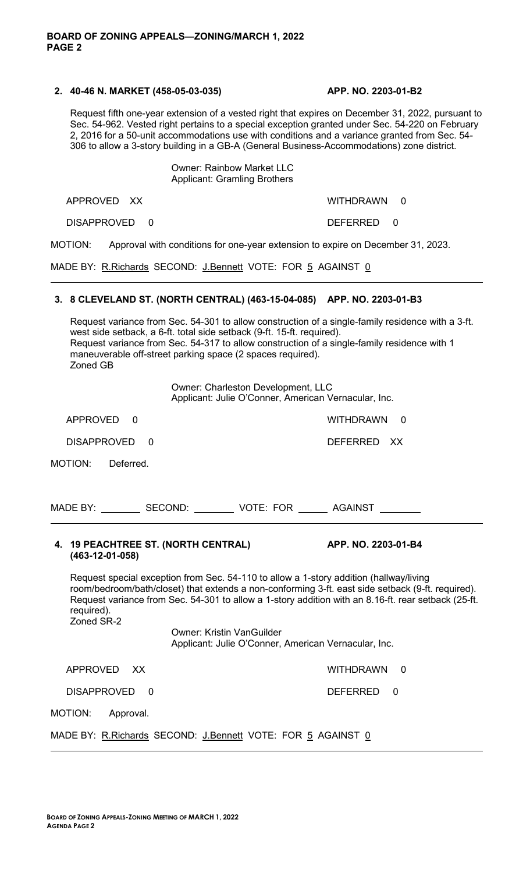#### **2. 40-46 N. MARKET (458-05-03-035) APP. NO. 2203-01-B2**

Request fifth one-year extension of a vested right that expires on December 31, 2022, pursuant to Sec. 54-962. Vested right pertains to a special exception granted under Sec. 54-220 on February 2, 2016 for a 50-unit accommodations use with conditions and a variance granted from Sec. 54- 306 to allow a 3-story building in a GB-A (General Business-Accommodations) zone district.

#### Owner: Rainbow Market LLC Applicant: Gramling Brothers

APPROVED XX WITHDRAWN 0

DISAPPROVED 0 DEFERRED 0

MOTION: Approval with conditions for one-year extension to expire on December 31, 2023.

MADE BY: R.Richards SECOND: J.Bennett VOTE: FOR 5 AGAINST 0

# **3. 8 CLEVELAND ST. (NORTH CENTRAL) (463-15-04-085) APP. NO. 2203-01-B3**

Request variance from Sec. 54-301 to allow construction of a single-family residence with a 3-ft. west side setback, a 6-ft. total side setback (9-ft. 15-ft. required). Request variance from Sec. 54-317 to allow construction of a single-family residence with 1 maneuverable off-street parking space (2 spaces required). Zoned GB

> Owner: Charleston Development, LLC Applicant: Julie O'Conner, American Vernacular, Inc.

APPROVED 0 WITHDRAWN 0

DISAPPROVED 0 DEFERRED XX

MOTION: Deferred.

| MADE BY: | SECOND: | <b>VOTE: FOR</b> | <b>AGAINST</b> |  |
|----------|---------|------------------|----------------|--|
|          |         |                  |                |  |

# **4. 19 PEACHTREE ST. (NORTH CENTRAL) APP. NO. 2203-01-B4 (463-12-01-058)**

Request special exception from Sec. 54-110 to allow a 1-story addition (hallway/living room/bedroom/bath/closet) that extends a non-conforming 3-ft. east side setback (9-ft. required). Request variance from Sec. 54-301 to allow a 1-story addition with an 8.16-ft. rear setback (25-ft. required). Zoned SR-2

> Owner: Kristin VanGuilder Applicant: Julie O'Conner, American Vernacular, Inc.

APPROVED XX WITHDRAWN 0

DISAPPROVED 0 DEFERRED 0

MOTION: Approval.

MADE BY: R.Richards SECOND: J.Bennett VOTE: FOR 5 AGAINST 0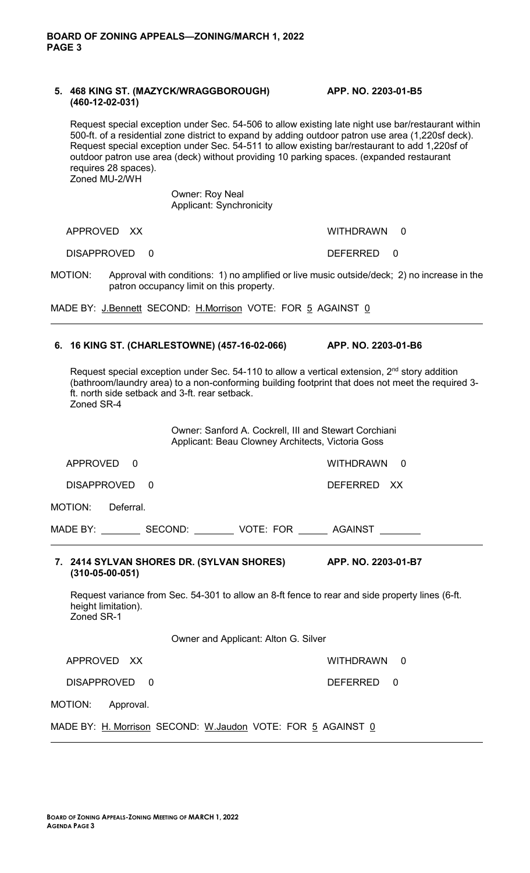### **5. 468 KING ST. (MAZYCK/WRAGGBOROUGH) APP. NO. 2203-01-B5 (460-12-02-031)**

Request special exception under Sec. 54-506 to allow existing late night use bar/restaurant within 500-ft. of a residential zone district to expand by adding outdoor patron use area (1,220sf deck). Request special exception under Sec. 54-511 to allow existing bar/restaurant to add 1,220sf of outdoor patron use area (deck) without providing 10 parking spaces. (expanded restaurant requires 28 spaces). Zoned MU-2/WH

> Owner: Roy Neal Applicant: Synchronicity

APPROVED XX WITHDRAWN 0

DISAPPROVED 0 DEFERRED 0

MOTION: Approval with conditions: 1) no amplified or live music outside/deck; 2) no increase in the patron occupancy limit on this property.

MADE BY: J.Bennett SECOND: H.Morrison VOTE: FOR 5 AGAINST 0

# **6. 16 KING ST. (CHARLESTOWNE) (457-16-02-066) APP. NO. 2203-01-B6**

Request special exception under Sec.  $54-110$  to allow a vertical extension,  $2<sup>nd</sup>$  story addition (bathroom/laundry area) to a non-conforming building footprint that does not meet the required 3 ft. north side setback and 3-ft. rear setback. Zoned SR-4

> Owner: Sanford A. Cockrell, III and Stewart Corchiani Applicant: Beau Clowney Architects, Victoria Goss

| APPROVED<br>$\Omega$                                                                     | WITHDRAWN<br>$\Omega$                                                                           |  |  |  |  |
|------------------------------------------------------------------------------------------|-------------------------------------------------------------------------------------------------|--|--|--|--|
| DISAPPROVED 0                                                                            | DEFERRED XX                                                                                     |  |  |  |  |
| MOTION: Deferral.                                                                        |                                                                                                 |  |  |  |  |
| MADE BY: ___________ SECOND: __________ VOTE: FOR ________ AGAINST _________             |                                                                                                 |  |  |  |  |
| 7. 2414 SYLVAN SHORES DR. (SYLVAN SHORES) APP. NO. 2203-01-B7<br>$(310 - 05 - 00 - 051)$ |                                                                                                 |  |  |  |  |
| height limitation).<br>Zoned SR-1                                                        | Request variance from Sec. 54-301 to allow an 8-ft fence to rear and side property lines (6-ft. |  |  |  |  |
| Owner and Applicant: Alton G. Silver                                                     |                                                                                                 |  |  |  |  |
| APPROVED XX                                                                              | WITHDRAWN 0                                                                                     |  |  |  |  |
| DISAPPROVED 0                                                                            | DEFERRED 0                                                                                      |  |  |  |  |
| MOTION: Approval.                                                                        |                                                                                                 |  |  |  |  |
| MADE BY: H. Morrison SECOND: W. Jaudon VOTE: FOR 5 AGAINST 0                             |                                                                                                 |  |  |  |  |